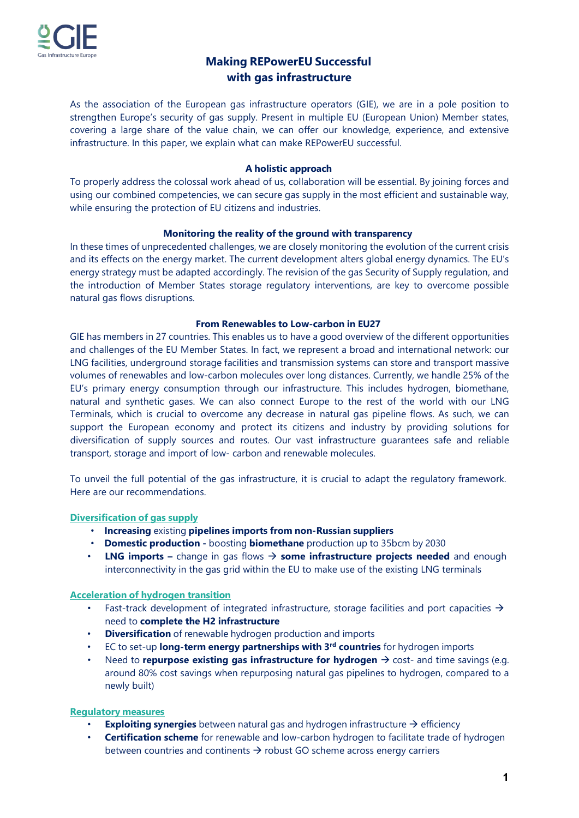

# **Making REPowerEU Successful with gas infrastructure**

As the association of the European gas infrastructure operators (GIE), we are in a pole position to strengthen Europe's security of gas supply. Present in multiple EU (European Union) Member states, covering a large share of the value chain, we can offer our knowledge, experience, and extensive infrastructure. In this paper, we explain what can make REPowerEU successful.

## **A holistic approach**

To properly address the colossal work ahead of us, collaboration will be essential. By joining forces and using our combined competencies, we can secure gas supply in the most efficient and sustainable way, while ensuring the protection of EU citizens and industries.

# **Monitoring the reality of the ground with transparency**

In these times of unprecedented challenges, we are closely monitoring the evolution of the current crisis and its effects on the energy market. The current development alters global energy dynamics. The EU's energy strategy must be adapted accordingly. The revision of the gas Security of Supply regulation, and the introduction of Member States storage regulatory interventions, are key to overcome possible natural gas flows disruptions.

# **From Renewables to Low-carbon in EU27**

GIE has members in 27 countries. This enables us to have a good overview of the different opportunities and challenges of the EU Member States. In fact, we represent a broad and international network: our LNG facilities, underground storage facilities and transmission systems can store and transport massive volumes of renewables and low-carbon molecules over long distances. Currently, we handle 25% of the EU's primary energy consumption through our infrastructure. This includes hydrogen, biomethane, natural and synthetic gases. We can also connect Europe to the rest of the world with our LNG Terminals, which is crucial to overcome any decrease in natural gas pipeline flows. As such, we can support the European economy and protect its citizens and industry by providing solutions for diversification of supply sources and routes. Our vast infrastructure guarantees safe and reliable transport, storage and import of low- carbon and renewable molecules.

To unveil the full potential of the gas infrastructure, it is crucial to adapt the regulatory framework. Here are our recommendations.

# **Diversification of gas supply**

- **Increasing** existing **pipelines imports from non-Russian suppliers**
- **Domestic production -** boosting **biomethane** production up to 35bcm by 2030
- **LNG imports –** change in gas flows **some infrastructure projects needed** and enough interconnectivity in the gas grid within the EU to make use of the existing LNG terminals

## **Acceleration of hydrogen transition**

- Fast-track development of integrated infrastructure, storage facilities and port capacities  $\rightarrow$ need to **complete the H2 infrastructure**
- **Diversification** of renewable hydrogen production and imports
- EC to set-up **long-term energy partnerships with 3rd countries** for hydrogen imports
- Need to **repurpose existing gas infrastructure for hydrogen**  $\rightarrow$  cost- and time savings (e.g. around 80% cost savings when repurposing natural gas pipelines to hydrogen, compared to a newly built)

## **Regulatory measures**

- **Exploiting synergies** between natural gas and hydrogen infrastructure  $\rightarrow$  efficiency
- **Certification scheme** for renewable and low-carbon hydrogen to facilitate trade of hydrogen between countries and continents  $\rightarrow$  robust GO scheme across energy carriers